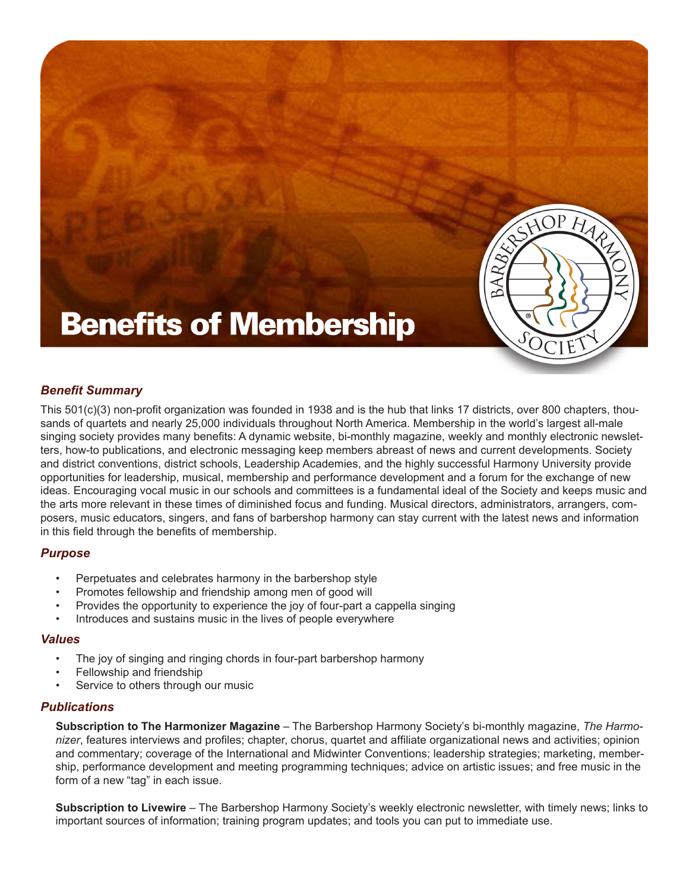

# **Benefits of Membership**

# *Benefit Summary*

This 501(c)(3) non-profit organization was founded in 1938 and is the hub that links 17 districts, over 800 chapters, thousands of quartets and nearly 25,000 individuals throughout North America. Membership in the world's largest all-male singing society provides many benefits: A dynamic website, bi-monthly magazine, weekly and monthly electronic newsletters, how-to publications, and electronic messaging keep members abreast of news and current developments. Society and district conventions, district schools, Leadership Academies, and the highly successful Harmony University provide opportunities for leadership, musical, membership and performance development and a forum for the exchange of new ideas. Encouraging vocal music in our schools and committees is a fundamental ideal of the Society and keeps music and the arts more relevant in these times of diminished focus and funding. Musical directors, administrators, arrangers, composers, music educators, singers, and fans of barbershop harmony can stay current with the latest news and information in this field through the benefits of membership.

# *Purpose*

- Perpetuates and celebrates harmony in the barbershop style
- Promotes fellowship and friendship among men of good will
- Provides the opportunity to experience the joy of four-part a cappella singing
- Introduces and sustains music in the lives of people everywhere

### *Values*

- The joy of singing and ringing chords in four-part barbershop harmony
- Fellowship and friendship
- Service to others through our music

### *Publications*

**Subscription to The Harmonizer Magazine** – The Barbershop Harmony Society's bi-monthly magazine, *The Harmonizer*, features interviews and profiles; chapter, chorus, quartet and affiliate organizational news and activities; opinion and commentary; coverage of the International and Midwinter Conventions; leadership strategies; marketing, membership, performance development and meeting programming techniques; advice on artistic issues; and free music in the form of a new "tag" in each issue.

**Subscription to Livewire** – The Barbershop Harmony Society's weekly electronic newsletter, with timely news; links to important sources of information; training program updates; and tools you can put to immediate use.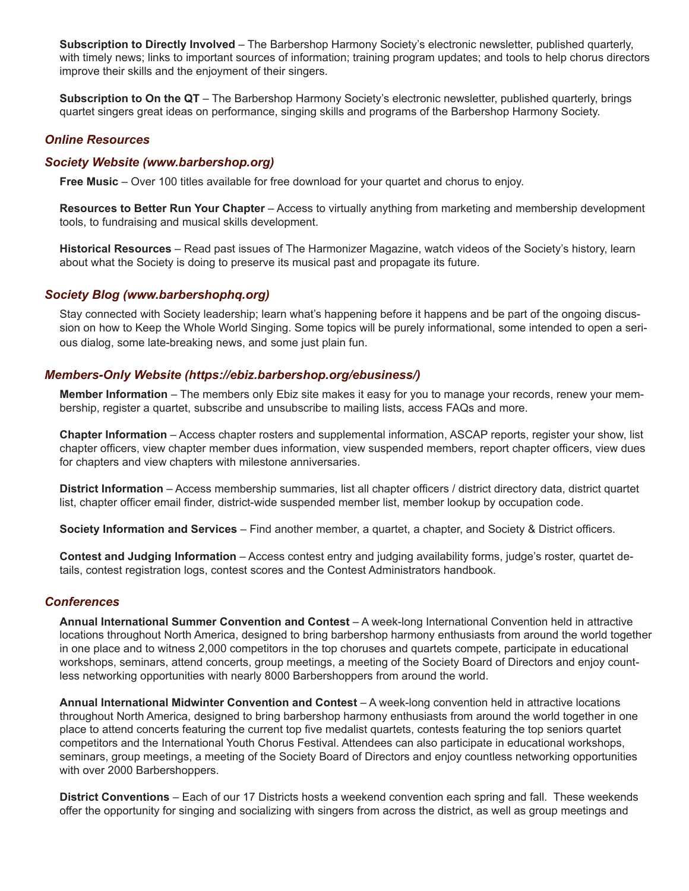**Subscription to Directly Involved** – The Barbershop Harmony Society's electronic newsletter, published quarterly, with timely news; links to important sources of information; training program updates; and tools to help chorus directors improve their skills and the enjoyment of their singers.

**Subscription to On the QT** – The Barbershop Harmony Society's electronic newsletter, published quarterly, brings quartet singers great ideas on performance, singing skills and programs of the Barbershop Harmony Society.

## *Online Resources*

### *Society Website (www.barbershop.org)*

**Free Music** – Over 100 titles available for free download for your quartet and chorus to enjoy.

**Resources to Better Run Your Chapter** – Access to virtually anything from marketing and membership development tools, to fundraising and musical skills development.

**Historical Resources** – Read past issues of The Harmonizer Magazine, watch videos of the Society's history, learn about what the Society is doing to preserve its musical past and propagate its future.

#### *Society Blog (www.barbershophq.org)*

Stay connected with Society leadership; learn what's happening before it happens and be part of the ongoing discussion on how to Keep the Whole World Singing. Some topics will be purely informational, some intended to open a serious dialog, some late-breaking news, and some just plain fun.

### *Members-Only Website (https://ebiz.barbershop.org/ebusiness/)*

**Member Information** – The members only Ebiz site makes it easy for you to manage your records, renew your membership, register a quartet, subscribe and unsubscribe to mailing lists, access FAQs and more.

**Chapter Information** – Access chapter rosters and supplemental information, ASCAP reports, register your show, list chapter officers, view chapter member dues information, view suspended members, report chapter officers, view dues for chapters and view chapters with milestone anniversaries.

**District Information** – Access membership summaries, list all chapter officers / district directory data, district quartet list, chapter officer email finder, district-wide suspended member list, member lookup by occupation code.

**Society Information and Services** – Find another member, a quartet, a chapter, and Society & District officers.

**Contest and Judging Information** – Access contest entry and judging availability forms, judge's roster, quartet details, contest registration logs, contest scores and the Contest Administrators handbook.

#### *Conferences*

**Annual International Summer Convention and Contest** – A week-long International Convention held in attractive locations throughout North America, designed to bring barbershop harmony enthusiasts from around the world together in one place and to witness 2,000 competitors in the top choruses and quartets compete, participate in educational workshops, seminars, attend concerts, group meetings, a meeting of the Society Board of Directors and enjoy countless networking opportunities with nearly 8000 Barbershoppers from around the world.

**Annual International Midwinter Convention and Contest** – A week-long convention held in attractive locations throughout North America, designed to bring barbershop harmony enthusiasts from around the world together in one place to attend concerts featuring the current top five medalist quartets, contests featuring the top seniors quartet competitors and the International Youth Chorus Festival. Attendees can also participate in educational workshops, seminars, group meetings, a meeting of the Society Board of Directors and enjoy countless networking opportunities with over 2000 Barbershoppers.

**District Conventions** – Each of our 17 Districts hosts a weekend convention each spring and fall. These weekends offer the opportunity for singing and socializing with singers from across the district, as well as group meetings and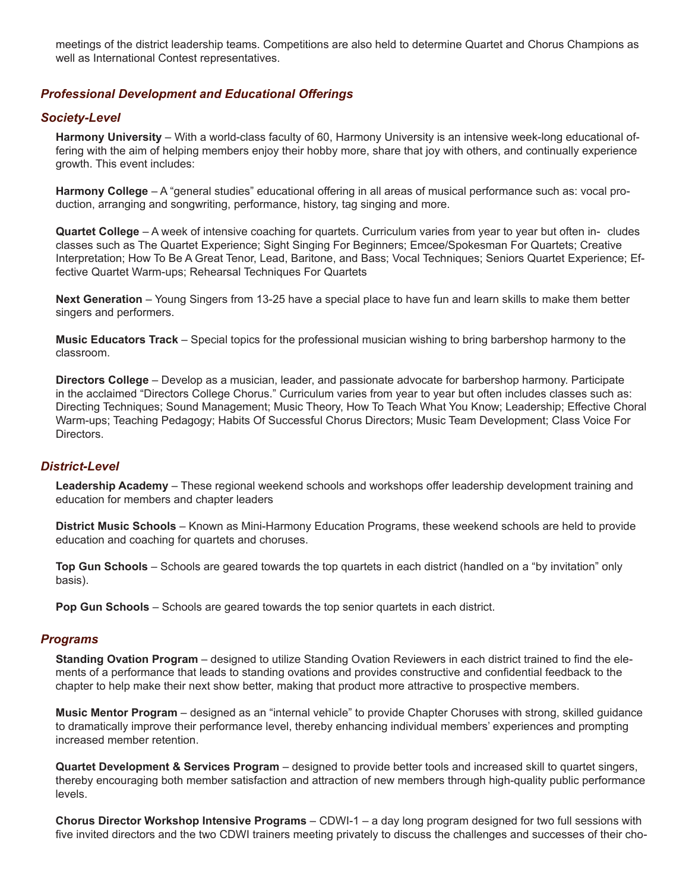meetings of the district leadership teams. Competitions are also held to determine Quartet and Chorus Champions as well as International Contest representatives.

## *Professional Development and Educational Offerings*

#### *Society-Level*

**Harmony University** – With a world-class faculty of 60, Harmony University is an intensive week-long educational offering with the aim of helping members enjoy their hobby more, share that joy with others, and continually experience growth. This event includes:

**Harmony College** – A "general studies" educational offering in all areas of musical performance such as: vocal production, arranging and songwriting, performance, history, tag singing and more.

**Quartet College** – A week of intensive coaching for quartets. Curriculum varies from year to year but often in- cludes classes such as The Quartet Experience; Sight Singing For Beginners; Emcee/Spokesman For Quartets; Creative Interpretation; How To Be A Great Tenor, Lead, Baritone, and Bass; Vocal Techniques; Seniors Quartet Experience; Effective Quartet Warm-ups; Rehearsal Techniques For Quartets

**Next Generation** – Young Singers from 13-25 have a special place to have fun and learn skills to make them better singers and performers.

**Music Educators Track** – Special topics for the professional musician wishing to bring barbershop harmony to the classroom.

**Directors College** – Develop as a musician, leader, and passionate advocate for barbershop harmony. Participate in the acclaimed "Directors College Chorus." Curriculum varies from year to year but often includes classes such as: Directing Techniques; Sound Management; Music Theory, How To Teach What You Know; Leadership; Effective Choral Warm-ups; Teaching Pedagogy; Habits Of Successful Chorus Directors; Music Team Development; Class Voice For Directors.

#### *District-Level*

**Leadership Academy** – These regional weekend schools and workshops offer leadership development training and education for members and chapter leaders

**District Music Schools** – Known as Mini-Harmony Education Programs, these weekend schools are held to provide education and coaching for quartets and choruses.

**Top Gun Schools** – Schools are geared towards the top quartets in each district (handled on a "by invitation" only basis).

**Pop Gun Schools** – Schools are geared towards the top senior quartets in each district.

#### *Programs*

**Standing Ovation Program** – designed to utilize Standing Ovation Reviewers in each district trained to find the elements of a performance that leads to standing ovations and provides constructive and confidential feedback to the chapter to help make their next show better, making that product more attractive to prospective members.

**Music Mentor Program** – designed as an "internal vehicle" to provide Chapter Choruses with strong, skilled guidance to dramatically improve their performance level, thereby enhancing individual members' experiences and prompting increased member retention.

**Quartet Development & Services Program** – designed to provide better tools and increased skill to quartet singers, thereby encouraging both member satisfaction and attraction of new members through high-quality public performance levels.

**Chorus Director Workshop Intensive Programs** – CDWI-1 – a day long program designed for two full sessions with five invited directors and the two CDWI trainers meeting privately to discuss the challenges and successes of their cho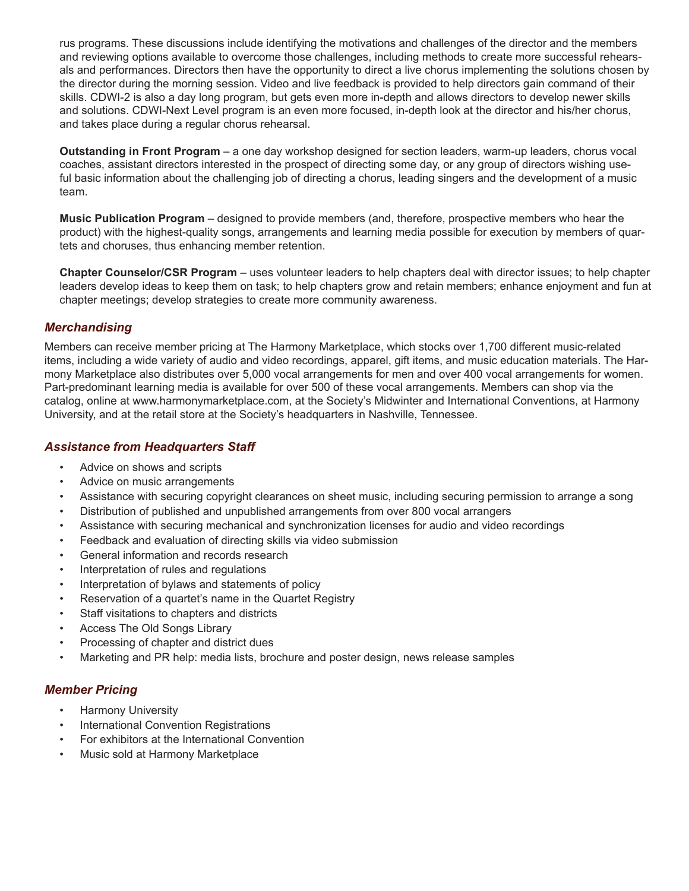rus programs. These discussions include identifying the motivations and challenges of the director and the members and reviewing options available to overcome those challenges, including methods to create more successful rehearsals and performances. Directors then have the opportunity to direct a live chorus implementing the solutions chosen by the director during the morning session. Video and live feedback is provided to help directors gain command of their skills. CDWI-2 is also a day long program, but gets even more in-depth and allows directors to develop newer skills and solutions. CDWI-Next Level program is an even more focused, in-depth look at the director and his/her chorus, and takes place during a regular chorus rehearsal.

**Outstanding in Front Program** – a one day workshop designed for section leaders, warm-up leaders, chorus vocal coaches, assistant directors interested in the prospect of directing some day, or any group of directors wishing useful basic information about the challenging job of directing a chorus, leading singers and the development of a music team.

**Music Publication Program** – designed to provide members (and, therefore, prospective members who hear the product) with the highest-quality songs, arrangements and learning media possible for execution by members of quartets and choruses, thus enhancing member retention.

**Chapter Counselor/CSR Program** – uses volunteer leaders to help chapters deal with director issues; to help chapter leaders develop ideas to keep them on task; to help chapters grow and retain members; enhance enjoyment and fun at chapter meetings; develop strategies to create more community awareness.

# *Merchandising*

Members can receive member pricing at The Harmony Marketplace, which stocks over 1,700 different music-related items, including a wide variety of audio and video recordings, apparel, gift items, and music education materials. The Harmony Marketplace also distributes over 5,000 vocal arrangements for men and over 400 vocal arrangements for women. Part-predominant learning media is available for over 500 of these vocal arrangements. Members can shop via the catalog, online at www.harmonymarketplace.com, at the Society's Midwinter and International Conventions, at Harmony University, and at the retail store at the Society's headquarters in Nashville, Tennessee.

## *Assistance from Headquarters Staff*

- Advice on shows and scripts
- Advice on music arrangements
- Assistance with securing copyright clearances on sheet music, including securing permission to arrange a song
- Distribution of published and unpublished arrangements from over 800 vocal arrangers
- Assistance with securing mechanical and synchronization licenses for audio and video recordings
- Feedback and evaluation of directing skills via video submission
- General information and records research
- Interpretation of rules and regulations
- Interpretation of bylaws and statements of policy
- Reservation of a quartet's name in the Quartet Registry
- Staff visitations to chapters and districts
- Access The Old Songs Library
- Processing of chapter and district dues
- Marketing and PR help: media lists, brochure and poster design, news release samples

# *Member Pricing*

- Harmony University
- International Convention Registrations
- For exhibitors at the International Convention
- Music sold at Harmony Marketplace